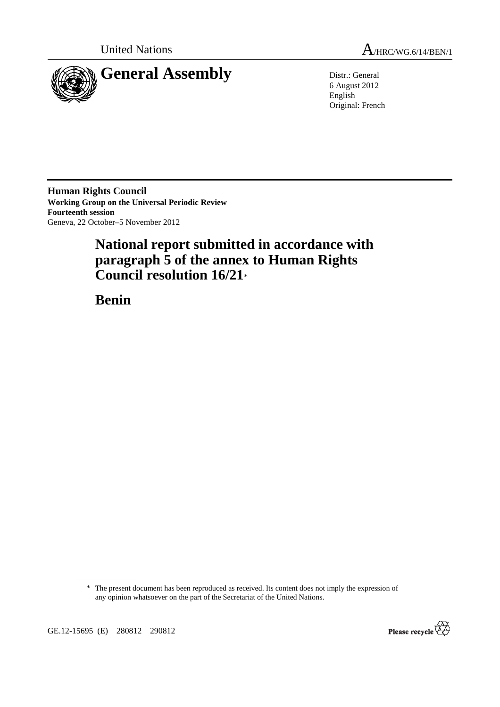



6 August 2012 English Original: French

**Human Rights Council Working Group on the Universal Periodic Review Fourteenth session**  Geneva, 22 October–5 November 2012

# **National report submitted in accordance with paragraph 5 of the annex to Human Rights Council resolution 16/21**\*

 **Benin** 

\* The present document has been reproduced as received. Its content does not imply the expression of any opinion whatsoever on the part of the Secretariat of the United Nations.

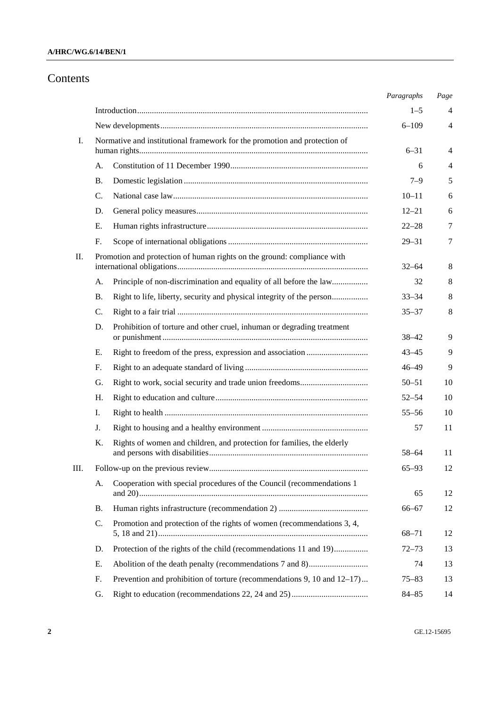## Contents

|     |                                                                           |                                                                         | Paragraphs | Page |
|-----|---------------------------------------------------------------------------|-------------------------------------------------------------------------|------------|------|
|     |                                                                           |                                                                         | $1 - 5$    | 4    |
|     |                                                                           |                                                                         | $6 - 109$  | 4    |
| I.  | Normative and institutional framework for the promotion and protection of |                                                                         |            |      |
|     |                                                                           |                                                                         | $6 - 31$   | 4    |
|     | A.                                                                        |                                                                         | 6          | 4    |
|     | В.                                                                        |                                                                         | $7 - 9$    | 5    |
|     | C.                                                                        |                                                                         | $10 - 11$  | 6    |
|     | D.                                                                        |                                                                         | $12 - 21$  | 6    |
|     | Е.                                                                        |                                                                         | $22 - 28$  | 7    |
|     | F.                                                                        |                                                                         | $29 - 31$  | 7    |
| II. | Promotion and protection of human rights on the ground: compliance with   |                                                                         | $32 - 64$  | 8    |
|     | А.                                                                        | Principle of non-discrimination and equality of all before the law      | 32         | 8    |
|     | Β.                                                                        | Right to life, liberty, security and physical integrity of the person   | $33 - 34$  | 8    |
|     | C.                                                                        |                                                                         | $35 - 37$  | 8    |
|     | D.                                                                        | Prohibition of torture and other cruel, inhuman or degrading treatment  | $38 - 42$  | 9    |
|     | Е.                                                                        |                                                                         | $43 - 45$  | 9    |
|     | F.                                                                        |                                                                         | $46 - 49$  | 9    |
|     | G.                                                                        |                                                                         | $50 - 51$  | 10   |
|     | Н.                                                                        |                                                                         | $52 - 54$  | 10   |
|     | Ι.                                                                        |                                                                         | $55 - 56$  | 10   |
|     | J.                                                                        |                                                                         | 57         | 11   |
|     | Κ.                                                                        | Rights of women and children, and protection for families, the elderly  | 58–64      | 11   |
| Ш.  |                                                                           |                                                                         | $65 - 93$  | 12   |
|     | A.                                                                        | Cooperation with special procedures of the Council (recommendations 1   | 65         | 12   |
|     | В.                                                                        |                                                                         | $66 - 67$  | 12   |
|     | C.                                                                        | Promotion and protection of the rights of women (recommendations 3, 4,  | $68 - 71$  | 12   |
|     | D.                                                                        | Protection of the rights of the child (recommendations 11 and 19)       | $72 - 73$  | 13   |
|     | Е.                                                                        |                                                                         | 74         | 13   |
|     | F.                                                                        | Prevention and prohibition of torture (recommendations 9, 10 and 12–17) | $75 - 83$  | 13   |
|     | G.                                                                        |                                                                         | $84 - 85$  | 14   |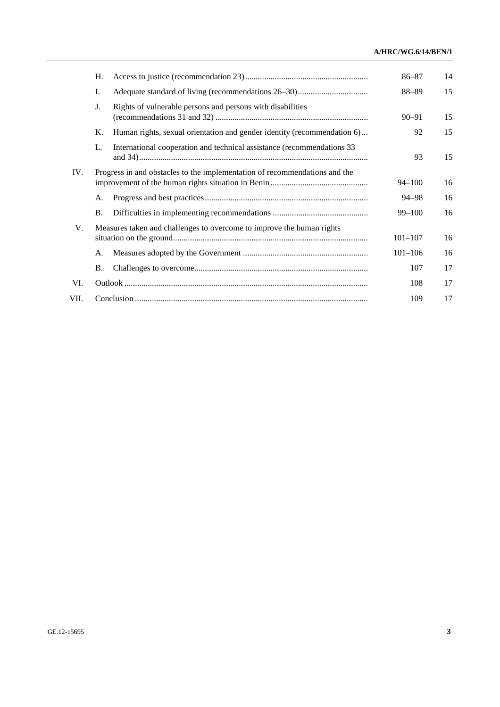### **A/HRC/WG.6/14/BEN/1**

|      | Н.                                                                         |                                                                         | $86 - 87$   | 14 |
|------|----------------------------------------------------------------------------|-------------------------------------------------------------------------|-------------|----|
|      | Ι.                                                                         |                                                                         | $88 - 89$   | 15 |
|      | J.                                                                         | Rights of vulnerable persons and persons with disabilities              | $90 - 91$   | 15 |
|      | Κ.                                                                         | Human rights, sexual orientation and gender identity (recommendation 6) | 92          | 15 |
|      | L.                                                                         | International cooperation and technical assistance (recommendations 33) | 93          | 15 |
| IV.  | Progress in and obstacles to the implementation of recommendations and the |                                                                         | $94 - 100$  | 16 |
|      | А.                                                                         |                                                                         | 94–98       | 16 |
|      | Β.                                                                         |                                                                         | $99 - 100$  | 16 |
| V.   | Measures taken and challenges to overcome to improve the human rights      |                                                                         | $101 - 107$ | 16 |
|      | A.                                                                         |                                                                         | $101 - 106$ | 16 |
|      | В.                                                                         |                                                                         | 107         | 17 |
| VI.  |                                                                            |                                                                         | 108         | 17 |
| VII. |                                                                            |                                                                         | 109         | 17 |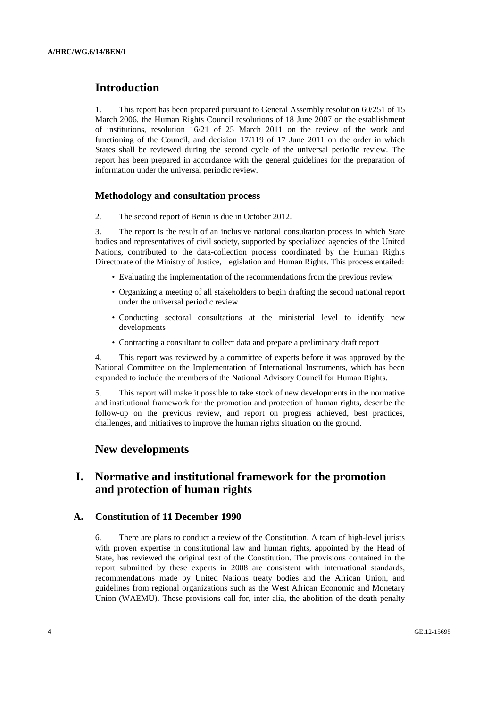## **Introduction**

1. This report has been prepared pursuant to General Assembly resolution 60/251 of 15 March 2006, the Human Rights Council resolutions of 18 June 2007 on the establishment of institutions, resolution 16/21 of 25 March 2011 on the review of the work and functioning of the Council, and decision 17/119 of 17 June 2011 on the order in which States shall be reviewed during the second cycle of the universal periodic review. The report has been prepared in accordance with the general guidelines for the preparation of information under the universal periodic review.

### **Methodology and consultation process**

2. The second report of Benin is due in October 2012.

3. The report is the result of an inclusive national consultation process in which State bodies and representatives of civil society, supported by specialized agencies of the United Nations, contributed to the data-collection process coordinated by the Human Rights Directorate of the Ministry of Justice, Legislation and Human Rights. This process entailed:

- Evaluating the implementation of the recommendations from the previous review
- Organizing a meeting of all stakeholders to begin drafting the second national report under the universal periodic review
- Conducting sectoral consultations at the ministerial level to identify new developments
- Contracting a consultant to collect data and prepare a preliminary draft report

4. This report was reviewed by a committee of experts before it was approved by the National Committee on the Implementation of International Instruments, which has been expanded to include the members of the National Advisory Council for Human Rights.

5. This report will make it possible to take stock of new developments in the normative and institutional framework for the promotion and protection of human rights, describe the follow-up on the previous review, and report on progress achieved, best practices, challenges, and initiatives to improve the human rights situation on the ground.

## **New developments**

## **I. Normative and institutional framework for the promotion and protection of human rights**

### **A. Constitution of 11 December 1990**

6. There are plans to conduct a review of the Constitution. A team of high-level jurists with proven expertise in constitutional law and human rights, appointed by the Head of State, has reviewed the original text of the Constitution. The provisions contained in the report submitted by these experts in 2008 are consistent with international standards, recommendations made by United Nations treaty bodies and the African Union, and guidelines from regional organizations such as the West African Economic and Monetary Union (WAEMU). These provisions call for, inter alia, the abolition of the death penalty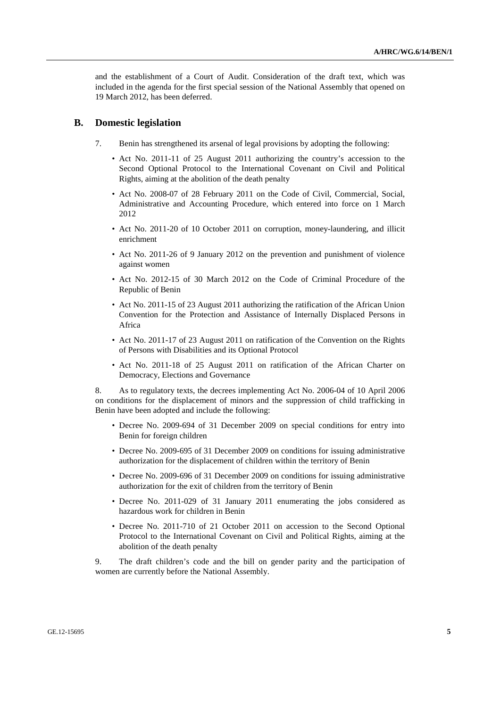and the establishment of a Court of Audit. Consideration of the draft text, which was included in the agenda for the first special session of the National Assembly that opened on 19 March 2012, has been deferred.

#### **B. Domestic legislation**

- 7. Benin has strengthened its arsenal of legal provisions by adopting the following:
	- Act No. 2011-11 of 25 August 2011 authorizing the country's accession to the Second Optional Protocol to the International Covenant on Civil and Political Rights, aiming at the abolition of the death penalty
	- Act No. 2008-07 of 28 February 2011 on the Code of Civil, Commercial, Social, Administrative and Accounting Procedure, which entered into force on 1 March 2012
	- Act No. 2011-20 of 10 October 2011 on corruption, money-laundering, and illicit enrichment
	- Act No. 2011-26 of 9 January 2012 on the prevention and punishment of violence against women
	- Act No. 2012-15 of 30 March 2012 on the Code of Criminal Procedure of the Republic of Benin
	- Act No. 2011-15 of 23 August 2011 authorizing the ratification of the African Union Convention for the Protection and Assistance of Internally Displaced Persons in Africa
	- Act No. 2011-17 of 23 August 2011 on ratification of the Convention on the Rights of Persons with Disabilities and its Optional Protocol
	- Act No. 2011-18 of 25 August 2011 on ratification of the African Charter on Democracy, Elections and Governance

8. As to regulatory texts, the decrees implementing Act No. 2006-04 of 10 April 2006 on conditions for the displacement of minors and the suppression of child trafficking in Benin have been adopted and include the following:

- Decree No. 2009-694 of 31 December 2009 on special conditions for entry into Benin for foreign children
- Decree No. 2009-695 of 31 December 2009 on conditions for issuing administrative authorization for the displacement of children within the territory of Benin
- Decree No. 2009-696 of 31 December 2009 on conditions for issuing administrative authorization for the exit of children from the territory of Benin
- Decree No. 2011-029 of 31 January 2011 enumerating the jobs considered as hazardous work for children in Benin
- Decree No. 2011-710 of 21 October 2011 on accession to the Second Optional Protocol to the International Covenant on Civil and Political Rights, aiming at the abolition of the death penalty

9. The draft children's code and the bill on gender parity and the participation of women are currently before the National Assembly.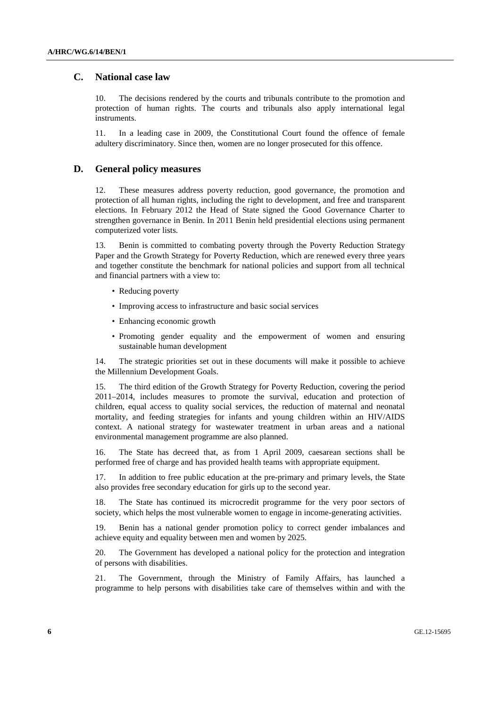### **C. National case law**

10. The decisions rendered by the courts and tribunals contribute to the promotion and protection of human rights. The courts and tribunals also apply international legal instruments.

11. In a leading case in 2009, the Constitutional Court found the offence of female adultery discriminatory. Since then, women are no longer prosecuted for this offence.

#### **D. General policy measures**

12. These measures address poverty reduction, good governance, the promotion and protection of all human rights, including the right to development, and free and transparent elections. In February 2012 the Head of State signed the Good Governance Charter to strengthen governance in Benin. In 2011 Benin held presidential elections using permanent computerized voter lists.

13. Benin is committed to combating poverty through the Poverty Reduction Strategy Paper and the Growth Strategy for Poverty Reduction, which are renewed every three years and together constitute the benchmark for national policies and support from all technical and financial partners with a view to:

- Reducing poverty
- Improving access to infrastructure and basic social services
- Enhancing economic growth
- Promoting gender equality and the empowerment of women and ensuring sustainable human development

14. The strategic priorities set out in these documents will make it possible to achieve the Millennium Development Goals.

15. The third edition of the Growth Strategy for Poverty Reduction, covering the period 2011–2014, includes measures to promote the survival, education and protection of children, equal access to quality social services, the reduction of maternal and neonatal mortality, and feeding strategies for infants and young children within an HIV/AIDS context. A national strategy for wastewater treatment in urban areas and a national environmental management programme are also planned.

16. The State has decreed that, as from 1 April 2009, caesarean sections shall be performed free of charge and has provided health teams with appropriate equipment.

17. In addition to free public education at the pre-primary and primary levels, the State also provides free secondary education for girls up to the second year.

18. The State has continued its microcredit programme for the very poor sectors of society, which helps the most vulnerable women to engage in income-generating activities.

19. Benin has a national gender promotion policy to correct gender imbalances and achieve equity and equality between men and women by 2025.

20. The Government has developed a national policy for the protection and integration of persons with disabilities.

21. The Government, through the Ministry of Family Affairs, has launched a programme to help persons with disabilities take care of themselves within and with the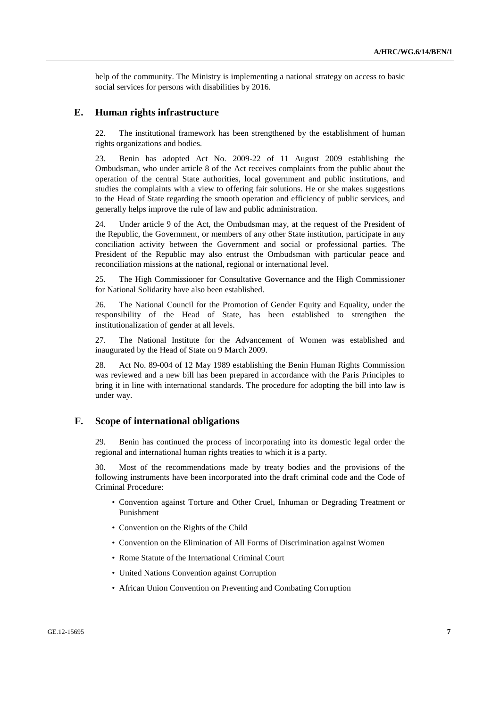help of the community. The Ministry is implementing a national strategy on access to basic social services for persons with disabilities by 2016.

#### **E. Human rights infrastructure**

22. The institutional framework has been strengthened by the establishment of human rights organizations and bodies.

23. Benin has adopted Act No. 2009-22 of 11 August 2009 establishing the Ombudsman, who under article 8 of the Act receives complaints from the public about the operation of the central State authorities, local government and public institutions, and studies the complaints with a view to offering fair solutions. He or she makes suggestions to the Head of State regarding the smooth operation and efficiency of public services, and generally helps improve the rule of law and public administration.

24. Under article 9 of the Act, the Ombudsman may, at the request of the President of the Republic, the Government, or members of any other State institution, participate in any conciliation activity between the Government and social or professional parties. The President of the Republic may also entrust the Ombudsman with particular peace and reconciliation missions at the national, regional or international level.

25. The High Commissioner for Consultative Governance and the High Commissioner for National Solidarity have also been established.

26. The National Council for the Promotion of Gender Equity and Equality, under the responsibility of the Head of State, has been established to strengthen the institutionalization of gender at all levels.

27. The National Institute for the Advancement of Women was established and inaugurated by the Head of State on 9 March 2009.

28. Act No. 89-004 of 12 May 1989 establishing the Benin Human Rights Commission was reviewed and a new bill has been prepared in accordance with the Paris Principles to bring it in line with international standards. The procedure for adopting the bill into law is under way.

### **F. Scope of international obligations**

29. Benin has continued the process of incorporating into its domestic legal order the regional and international human rights treaties to which it is a party.

30. Most of the recommendations made by treaty bodies and the provisions of the following instruments have been incorporated into the draft criminal code and the Code of Criminal Procedure:

- Convention against Torture and Other Cruel, Inhuman or Degrading Treatment or Punishment
- Convention on the Rights of the Child
- Convention on the Elimination of All Forms of Discrimination against Women
- Rome Statute of the International Criminal Court
- United Nations Convention against Corruption
- African Union Convention on Preventing and Combating Corruption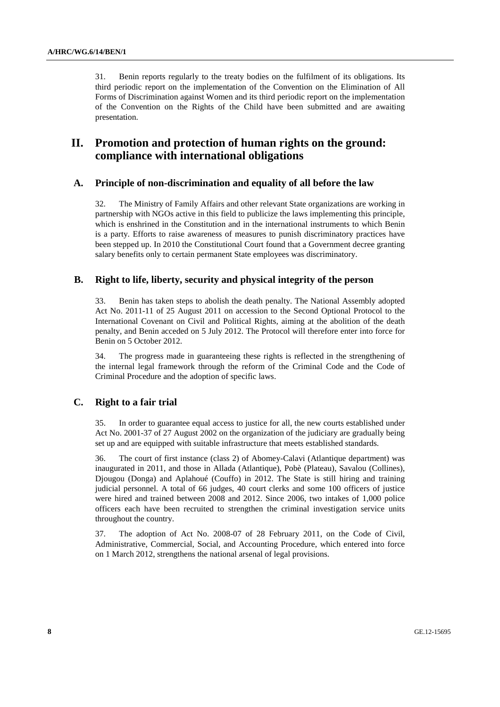31. Benin reports regularly to the treaty bodies on the fulfilment of its obligations. Its third periodic report on the implementation of the Convention on the Elimination of All Forms of Discrimination against Women and its third periodic report on the implementation of the Convention on the Rights of the Child have been submitted and are awaiting presentation.

## **II. Promotion and protection of human rights on the ground: compliance with international obligations**

#### **A. Principle of non-discrimination and equality of all before the law**

32. The Ministry of Family Affairs and other relevant State organizations are working in partnership with NGOs active in this field to publicize the laws implementing this principle, which is enshrined in the Constitution and in the international instruments to which Benin is a party. Efforts to raise awareness of measures to punish discriminatory practices have been stepped up. In 2010 the Constitutional Court found that a Government decree granting salary benefits only to certain permanent State employees was discriminatory.

#### **B. Right to life, liberty, security and physical integrity of the person**

33. Benin has taken steps to abolish the death penalty. The National Assembly adopted Act No. 2011-11 of 25 August 2011 on accession to the Second Optional Protocol to the International Covenant on Civil and Political Rights, aiming at the abolition of the death penalty, and Benin acceded on 5 July 2012. The Protocol will therefore enter into force for Benin on 5 October 2012.

34. The progress made in guaranteeing these rights is reflected in the strengthening of the internal legal framework through the reform of the Criminal Code and the Code of Criminal Procedure and the adoption of specific laws.

### **C. Right to a fair trial**

35. In order to guarantee equal access to justice for all, the new courts established under Act No. 2001-37 of 27 August 2002 on the organization of the judiciary are gradually being set up and are equipped with suitable infrastructure that meets established standards.

36. The court of first instance (class 2) of Abomey-Calavi (Atlantique department) was inaugurated in 2011, and those in Allada (Atlantique), Pobè (Plateau), Savalou (Collines), Djougou (Donga) and Aplahoué (Couffo) in 2012. The State is still hiring and training judicial personnel. A total of 66 judges, 40 court clerks and some 100 officers of justice were hired and trained between 2008 and 2012. Since 2006, two intakes of 1,000 police officers each have been recruited to strengthen the criminal investigation service units throughout the country.

37. The adoption of Act No. 2008-07 of 28 February 2011, on the Code of Civil, Administrative, Commercial, Social, and Accounting Procedure, which entered into force on 1 March 2012, strengthens the national arsenal of legal provisions.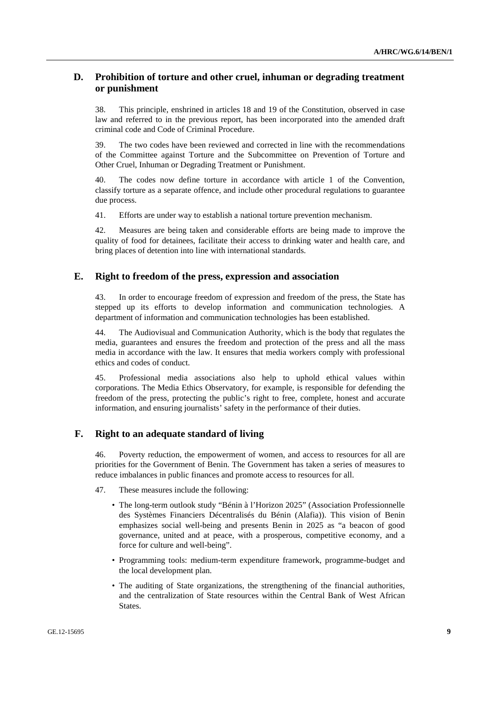### **D. Prohibition of torture and other cruel, inhuman or degrading treatment or punishment**

38. This principle, enshrined in articles 18 and 19 of the Constitution, observed in case law and referred to in the previous report, has been incorporated into the amended draft criminal code and Code of Criminal Procedure.

39. The two codes have been reviewed and corrected in line with the recommendations of the Committee against Torture and the Subcommittee on Prevention of Torture and Other Cruel, Inhuman or Degrading Treatment or Punishment.

40. The codes now define torture in accordance with article 1 of the Convention, classify torture as a separate offence, and include other procedural regulations to guarantee due process.

41. Efforts are under way to establish a national torture prevention mechanism.

42. Measures are being taken and considerable efforts are being made to improve the quality of food for detainees, facilitate their access to drinking water and health care, and bring places of detention into line with international standards.

### **E. Right to freedom of the press, expression and association**

43. In order to encourage freedom of expression and freedom of the press, the State has stepped up its efforts to develop information and communication technologies. A department of information and communication technologies has been established.

44. The Audiovisual and Communication Authority, which is the body that regulates the media, guarantees and ensures the freedom and protection of the press and all the mass media in accordance with the law. It ensures that media workers comply with professional ethics and codes of conduct.

45. Professional media associations also help to uphold ethical values within corporations. The Media Ethics Observatory, for example, is responsible for defending the freedom of the press, protecting the public's right to free, complete, honest and accurate information, and ensuring journalists' safety in the performance of their duties.

### **F. Right to an adequate standard of living**

46. Poverty reduction, the empowerment of women, and access to resources for all are priorities for the Government of Benin. The Government has taken a series of measures to reduce imbalances in public finances and promote access to resources for all.

- 47. These measures include the following:
	- The long-term outlook study "Bénin à l'Horizon 2025" (Association Professionnelle des Systèmes Financiers Décentralisés du Bénin (Alafia)). This vision of Benin emphasizes social well-being and presents Benin in 2025 as "a beacon of good governance, united and at peace, with a prosperous, competitive economy, and a force for culture and well-being".
	- Programming tools: medium-term expenditure framework, programme-budget and the local development plan.
	- The auditing of State organizations, the strengthening of the financial authorities, and the centralization of State resources within the Central Bank of West African States.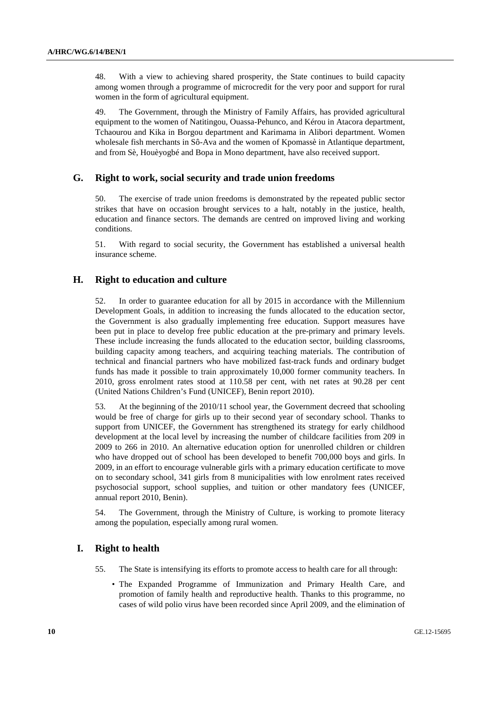48. With a view to achieving shared prosperity, the State continues to build capacity among women through a programme of microcredit for the very poor and support for rural women in the form of agricultural equipment.

49. The Government, through the Ministry of Family Affairs, has provided agricultural equipment to the women of Natitingou, Ouassa-Pehunco, and Kérou in Atacora department, Tchaourou and Kika in Borgou department and Karimama in Alibori department. Women wholesale fish merchants in Sô-Ava and the women of Kpomassè in Atlantique department, and from Sè, Houèyogbé and Bopa in Mono department, have also received support.

#### **G. Right to work, social security and trade union freedoms**

50. The exercise of trade union freedoms is demonstrated by the repeated public sector strikes that have on occasion brought services to a halt, notably in the justice, health, education and finance sectors. The demands are centred on improved living and working conditions.

51. With regard to social security, the Government has established a universal health insurance scheme.

#### **H. Right to education and culture**

52. In order to guarantee education for all by 2015 in accordance with the Millennium Development Goals, in addition to increasing the funds allocated to the education sector, the Government is also gradually implementing free education. Support measures have been put in place to develop free public education at the pre-primary and primary levels. These include increasing the funds allocated to the education sector, building classrooms, building capacity among teachers, and acquiring teaching materials. The contribution of technical and financial partners who have mobilized fast-track funds and ordinary budget funds has made it possible to train approximately 10,000 former community teachers. In 2010, gross enrolment rates stood at 110.58 per cent, with net rates at 90.28 per cent (United Nations Children's Fund (UNICEF), Benin report 2010).

53. At the beginning of the 2010/11 school year, the Government decreed that schooling would be free of charge for girls up to their second year of secondary school. Thanks to support from UNICEF, the Government has strengthened its strategy for early childhood development at the local level by increasing the number of childcare facilities from 209 in 2009 to 266 in 2010. An alternative education option for unenrolled children or children who have dropped out of school has been developed to benefit 700,000 boys and girls. In 2009, in an effort to encourage vulnerable girls with a primary education certificate to move on to secondary school, 341 girls from 8 municipalities with low enrolment rates received psychosocial support, school supplies, and tuition or other mandatory fees (UNICEF, annual report 2010, Benin).

54. The Government, through the Ministry of Culture, is working to promote literacy among the population, especially among rural women.

#### **I. Right to health**

- 55. The State is intensifying its efforts to promote access to health care for all through:
	- The Expanded Programme of Immunization and Primary Health Care, and promotion of family health and reproductive health. Thanks to this programme, no cases of wild polio virus have been recorded since April 2009, and the elimination of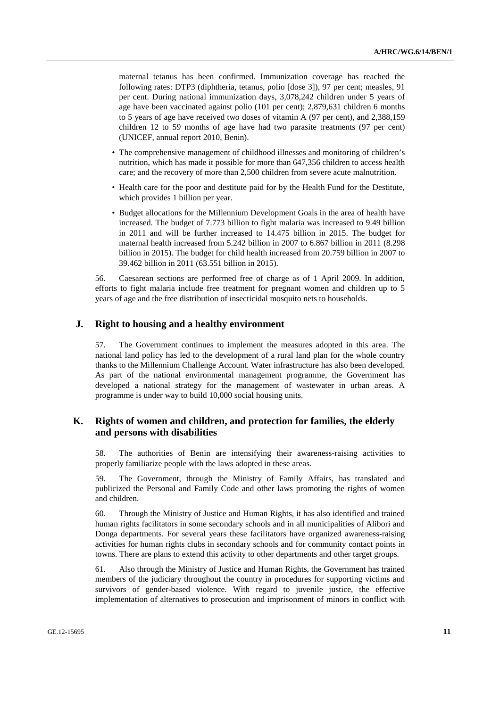maternal tetanus has been confirmed. Immunization coverage has reached the following rates: DTP3 (diphtheria, tetanus, polio [dose 3]), 97 per cent; measles, 91 per cent. During national immunization days, 3,078,242 children under 5 years of age have been vaccinated against polio (101 per cent); 2,879,631 children 6 months to 5 years of age have received two doses of vitamin A (97 per cent), and 2,388,159 children 12 to 59 months of age have had two parasite treatments (97 per cent) (UNICEF, annual report 2010, Benin).

- The comprehensive management of childhood illnesses and monitoring of children's nutrition, which has made it possible for more than 647,356 children to access health care; and the recovery of more than 2,500 children from severe acute malnutrition.
- Health care for the poor and destitute paid for by the Health Fund for the Destitute, which provides 1 billion per year.
- Budget allocations for the Millennium Development Goals in the area of health have increased. The budget of 7.773 billion to fight malaria was increased to 9.49 billion in 2011 and will be further increased to 14.475 billion in 2015. The budget for maternal health increased from 5.242 billion in 2007 to 6.867 billion in 2011 (8.298 billion in 2015). The budget for child health increased from 20.759 billion in 2007 to 39.462 billion in 2011 (63.551 billion in 2015).

56. Caesarean sections are performed free of charge as of 1 April 2009. In addition, efforts to fight malaria include free treatment for pregnant women and children up to 5 years of age and the free distribution of insecticidal mosquito nets to households.

#### **J. Right to housing and a healthy environment**

57. The Government continues to implement the measures adopted in this area. The national land policy has led to the development of a rural land plan for the whole country thanks to the Millennium Challenge Account. Water infrastructure has also been developed. As part of the national environmental management programme, the Government has developed a national strategy for the management of wastewater in urban areas. A programme is under way to build 10,000 social housing units.

### **K. Rights of women and children, and protection for families, the elderly and persons with disabilities**

58. The authorities of Benin are intensifying their awareness-raising activities to properly familiarize people with the laws adopted in these areas.

59. The Government, through the Ministry of Family Affairs, has translated and publicized the Personal and Family Code and other laws promoting the rights of women and children.

60. Through the Ministry of Justice and Human Rights, it has also identified and trained human rights facilitators in some secondary schools and in all municipalities of Alibori and Donga departments. For several years these facilitators have organized awareness-raising activities for human rights clubs in secondary schools and for community contact points in towns. There are plans to extend this activity to other departments and other target groups.

61. Also through the Ministry of Justice and Human Rights, the Government has trained members of the judiciary throughout the country in procedures for supporting victims and survivors of gender-based violence. With regard to juvenile justice, the effective implementation of alternatives to prosecution and imprisonment of minors in conflict with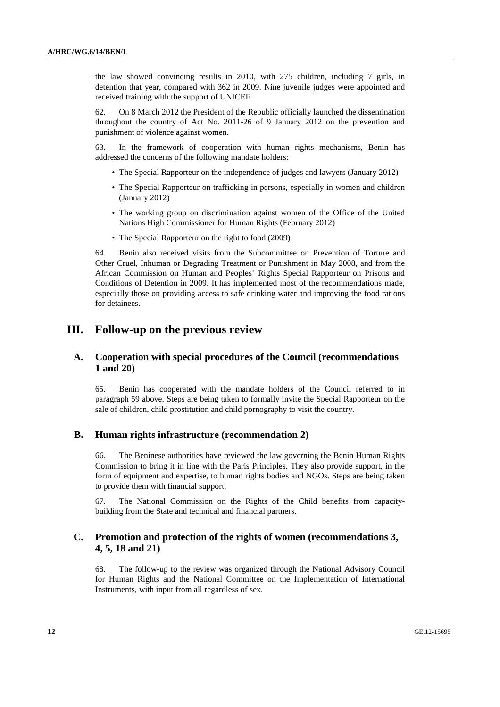the law showed convincing results in 2010, with 275 children, including 7 girls, in detention that year, compared with 362 in 2009. Nine juvenile judges were appointed and received training with the support of UNICEF.

62. On 8 March 2012 the President of the Republic officially launched the dissemination throughout the country of Act No. 2011-26 of 9 January 2012 on the prevention and punishment of violence against women.

63. In the framework of cooperation with human rights mechanisms, Benin has addressed the concerns of the following mandate holders:

- The Special Rapporteur on the independence of judges and lawyers (January 2012)
- The Special Rapporteur on trafficking in persons, especially in women and children (January 2012)
- The working group on discrimination against women of the Office of the United Nations High Commissioner for Human Rights (February 2012)
- The Special Rapporteur on the right to food (2009)

64. Benin also received visits from the Subcommittee on Prevention of Torture and Other Cruel, Inhuman or Degrading Treatment or Punishment in May 2008, and from the African Commission on Human and Peoples' Rights Special Rapporteur on Prisons and Conditions of Detention in 2009. It has implemented most of the recommendations made, especially those on providing access to safe drinking water and improving the food rations for detainees.

### **III. Follow-up on the previous review**

### **A. Cooperation with special procedures of the Council (recommendations 1 and 20)**

65. Benin has cooperated with the mandate holders of the Council referred to in paragraph 59 above. Steps are being taken to formally invite the Special Rapporteur on the sale of children, child prostitution and child pornography to visit the country.

#### **B. Human rights infrastructure (recommendation 2)**

66. The Beninese authorities have reviewed the law governing the Benin Human Rights Commission to bring it in line with the Paris Principles. They also provide support, in the form of equipment and expertise, to human rights bodies and NGOs. Steps are being taken to provide them with financial support.

67. The National Commission on the Rights of the Child benefits from capacitybuilding from the State and technical and financial partners.

### **C. Promotion and protection of the rights of women (recommendations 3, 4, 5, 18 and 21)**

68. The follow-up to the review was organized through the National Advisory Council for Human Rights and the National Committee on the Implementation of International Instruments, with input from all regardless of sex.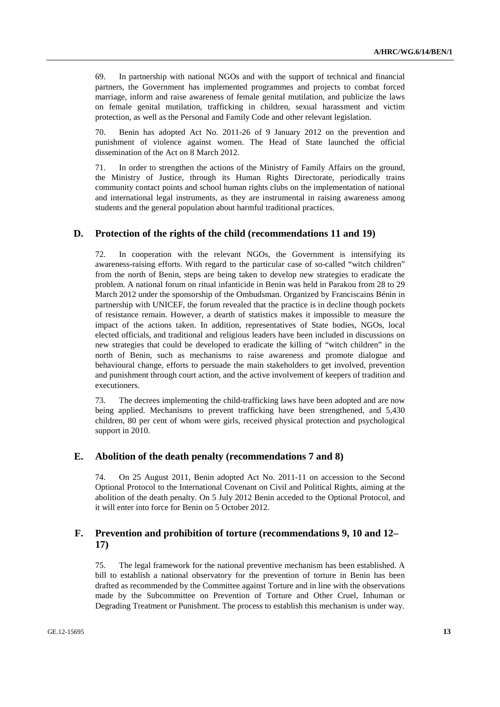69. In partnership with national NGOs and with the support of technical and financial partners, the Government has implemented programmes and projects to combat forced marriage, inform and raise awareness of female genital mutilation, and publicize the laws on female genital mutilation, trafficking in children, sexual harassment and victim protection, as well as the Personal and Family Code and other relevant legislation.

Benin has adopted Act No. 2011-26 of 9 January 2012 on the prevention and punishment of violence against women. The Head of State launched the official dissemination of the Act on 8 March 2012.

71. In order to strengthen the actions of the Ministry of Family Affairs on the ground, the Ministry of Justice, through its Human Rights Directorate, periodically trains community contact points and school human rights clubs on the implementation of national and international legal instruments, as they are instrumental in raising awareness among students and the general population about harmful traditional practices.

#### **D. Protection of the rights of the child (recommendations 11 and 19)**

72. In cooperation with the relevant NGOs, the Government is intensifying its awareness-raising efforts. With regard to the particular case of so-called "witch children" from the north of Benin, steps are being taken to develop new strategies to eradicate the problem. A national forum on ritual infanticide in Benin was held in Parakou from 28 to 29 March 2012 under the sponsorship of the Ombudsman. Organized by Franciscains Bénin in partnership with UNICEF, the forum revealed that the practice is in decline though pockets of resistance remain. However, a dearth of statistics makes it impossible to measure the impact of the actions taken. In addition, representatives of State bodies, NGOs, local elected officials, and traditional and religious leaders have been included in discussions on new strategies that could be developed to eradicate the killing of "witch children" in the north of Benin, such as mechanisms to raise awareness and promote dialogue and behavioural change, efforts to persuade the main stakeholders to get involved, prevention and punishment through court action, and the active involvement of keepers of tradition and executioners.

73. The decrees implementing the child-trafficking laws have been adopted and are now being applied. Mechanisms to prevent trafficking have been strengthened, and 5,430 children, 80 per cent of whom were girls, received physical protection and psychological support in 2010.

#### **E. Abolition of the death penalty (recommendations 7 and 8)**

74. On 25 August 2011, Benin adopted Act No. 2011-11 on accession to the Second Optional Protocol to the International Covenant on Civil and Political Rights, aiming at the abolition of the death penalty. On 5 July 2012 Benin acceded to the Optional Protocol, and it will enter into force for Benin on 5 October 2012.

### **F. Prevention and prohibition of torture (recommendations 9, 10 and 12– 17)**

75. The legal framework for the national preventive mechanism has been established. A bill to establish a national observatory for the prevention of torture in Benin has been drafted as recommended by the Committee against Torture and in line with the observations made by the Subcommittee on Prevention of Torture and Other Cruel, Inhuman or Degrading Treatment or Punishment. The process to establish this mechanism is under way.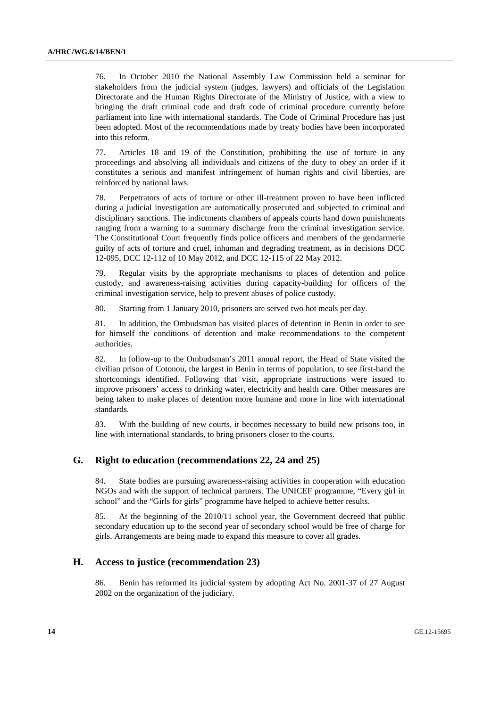76. In October 2010 the National Assembly Law Commission held a seminar for stakeholders from the judicial system (judges, lawyers) and officials of the Legislation Directorate and the Human Rights Directorate of the Ministry of Justice, with a view to bringing the draft criminal code and draft code of criminal procedure currently before parliament into line with international standards. The Code of Criminal Procedure has just been adopted. Most of the recommendations made by treaty bodies have been incorporated into this reform.

77. Articles 18 and 19 of the Constitution, prohibiting the use of torture in any proceedings and absolving all individuals and citizens of the duty to obey an order if it constitutes a serious and manifest infringement of human rights and civil liberties, are reinforced by national laws.

78. Perpetrators of acts of torture or other ill-treatment proven to have been inflicted during a judicial investigation are automatically prosecuted and subjected to criminal and disciplinary sanctions. The indictments chambers of appeals courts hand down punishments ranging from a warning to a summary discharge from the criminal investigation service. The Constitutional Court frequently finds police officers and members of the gendarmerie guilty of acts of torture and cruel, inhuman and degrading treatment, as in decisions DCC 12-095, DCC 12-112 of 10 May 2012, and DCC 12-115 of 22 May 2012.

79. Regular visits by the appropriate mechanisms to places of detention and police custody, and awareness-raising activities during capacity-building for officers of the criminal investigation service, help to prevent abuses of police custody.

80. Starting from 1 January 2010, prisoners are served two hot meals per day.

81. In addition, the Ombudsman has visited places of detention in Benin in order to see for himself the conditions of detention and make recommendations to the competent authorities.

82. In follow-up to the Ombudsman's 2011 annual report, the Head of State visited the civilian prison of Cotonou, the largest in Benin in terms of population, to see first-hand the shortcomings identified. Following that visit, appropriate instructions were issued to improve prisoners' access to drinking water, electricity and health care. Other measures are being taken to make places of detention more humane and more in line with international standards.

83. With the building of new courts, it becomes necessary to build new prisons too, in line with international standards, to bring prisoners closer to the courts.

### **G. Right to education (recommendations 22, 24 and 25)**

84. State bodies are pursuing awareness-raising activities in cooperation with education NGOs and with the support of technical partners. The UNICEF programme, "Every girl in school" and the "Girls for girls" programme have helped to achieve better results.

85. At the beginning of the 2010/11 school year, the Government decreed that public secondary education up to the second year of secondary school would be free of charge for girls. Arrangements are being made to expand this measure to cover all grades.

#### **H. Access to justice (recommendation 23)**

86. Benin has reformed its judicial system by adopting Act No. 2001-37 of 27 August 2002 on the organization of the judiciary.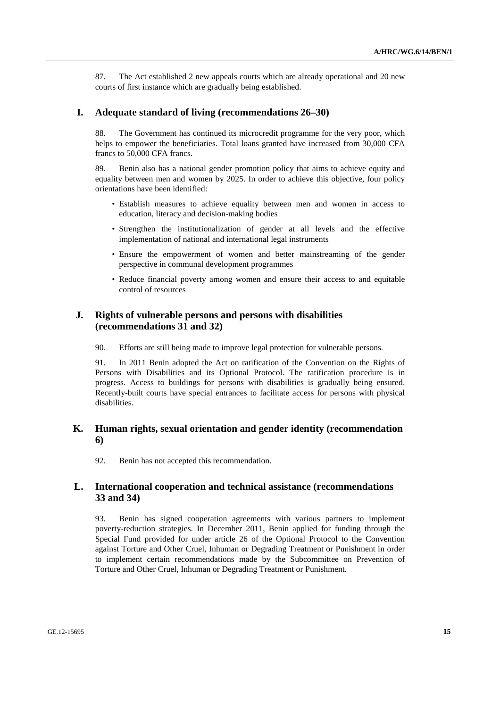87. The Act established 2 new appeals courts which are already operational and 20 new courts of first instance which are gradually being established.

#### **I. Adequate standard of living (recommendations 26–30)**

88. The Government has continued its microcredit programme for the very poor, which helps to empower the beneficiaries. Total loans granted have increased from 30,000 CFA francs to 50,000 CFA francs.

89. Benin also has a national gender promotion policy that aims to achieve equity and equality between men and women by 2025. In order to achieve this objective, four policy orientations have been identified:

- Establish measures to achieve equality between men and women in access to education, literacy and decision-making bodies
- Strengthen the institutionalization of gender at all levels and the effective implementation of national and international legal instruments
- Ensure the empowerment of women and better mainstreaming of the gender perspective in communal development programmes
- Reduce financial poverty among women and ensure their access to and equitable control of resources

### **J. Rights of vulnerable persons and persons with disabilities (recommendations 31 and 32)**

90. Efforts are still being made to improve legal protection for vulnerable persons.

91. In 2011 Benin adopted the Act on ratification of the Convention on the Rights of Persons with Disabilities and its Optional Protocol. The ratification procedure is in progress. Access to buildings for persons with disabilities is gradually being ensured. Recently-built courts have special entrances to facilitate access for persons with physical disabilities.

### **K. Human rights, sexual orientation and gender identity (recommendation 6)**

92. Benin has not accepted this recommendation.

### **L. International cooperation and technical assistance (recommendations 33 and 34)**

93. Benin has signed cooperation agreements with various partners to implement poverty-reduction strategies. In December 2011, Benin applied for funding through the Special Fund provided for under article 26 of the Optional Protocol to the Convention against Torture and Other Cruel, Inhuman or Degrading Treatment or Punishment in order to implement certain recommendations made by the Subcommittee on Prevention of Torture and Other Cruel, Inhuman or Degrading Treatment or Punishment.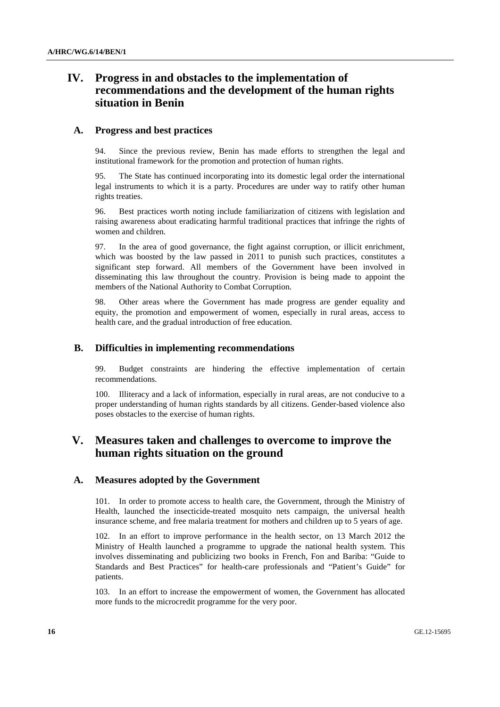## **IV. Progress in and obstacles to the implementation of recommendations and the development of the human rights situation in Benin**

#### **A. Progress and best practices**

94. Since the previous review, Benin has made efforts to strengthen the legal and institutional framework for the promotion and protection of human rights.

95. The State has continued incorporating into its domestic legal order the international legal instruments to which it is a party. Procedures are under way to ratify other human rights treaties.

96. Best practices worth noting include familiarization of citizens with legislation and raising awareness about eradicating harmful traditional practices that infringe the rights of women and children.

97. In the area of good governance, the fight against corruption, or illicit enrichment, which was boosted by the law passed in 2011 to punish such practices, constitutes a significant step forward. All members of the Government have been involved in disseminating this law throughout the country. Provision is being made to appoint the members of the National Authority to Combat Corruption.

98. Other areas where the Government has made progress are gender equality and equity, the promotion and empowerment of women, especially in rural areas, access to health care, and the gradual introduction of free education.

### **B. Difficulties in implementing recommendations**

99. Budget constraints are hindering the effective implementation of certain recommendations.

100. Illiteracy and a lack of information, especially in rural areas, are not conducive to a proper understanding of human rights standards by all citizens. Gender-based violence also poses obstacles to the exercise of human rights.

## **V. Measures taken and challenges to overcome to improve the human rights situation on the ground**

#### **A. Measures adopted by the Government**

101. In order to promote access to health care, the Government, through the Ministry of Health, launched the insecticide-treated mosquito nets campaign, the universal health insurance scheme, and free malaria treatment for mothers and children up to 5 years of age.

102. In an effort to improve performance in the health sector, on 13 March 2012 the Ministry of Health launched a programme to upgrade the national health system. This involves disseminating and publicizing two books in French, Fon and Bariba: "Guide to Standards and Best Practices" for health-care professionals and "Patient's Guide" for patients.

103. In an effort to increase the empowerment of women, the Government has allocated more funds to the microcredit programme for the very poor.